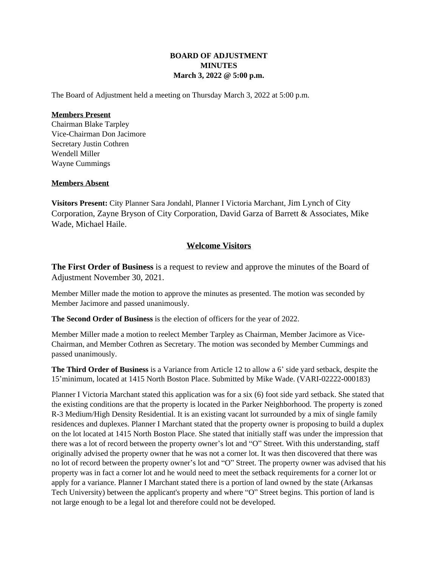## **BOARD OF ADJUSTMENT MINUTES March 3, 2022 @ 5:00 p.m.**

The Board of Adjustment held a meeting on Thursday March 3, 2022 at 5:00 p.m.

## **Members Present**

Chairman Blake Tarpley Vice-Chairman Don Jacimore Secretary Justin Cothren Wendell Miller Wayne Cummings

## **Members Absent**

**Visitors Present:** City Planner Sara Jondahl, Planner I Victoria Marchant, Jim Lynch of City Corporation, Zayne Bryson of City Corporation, David Garza of Barrett & Associates, Mike Wade, Michael Haile.

## **Welcome Visitors**

**The First Order of Business** is a request to review and approve the minutes of the Board of Adjustment November 30, 2021.

Member Miller made the motion to approve the minutes as presented. The motion was seconded by Member Jacimore and passed unanimously.

**The Second Order of Business** is the election of officers for the year of 2022.

Member Miller made a motion to reelect Member Tarpley as Chairman, Member Jacimore as Vice-Chairman, and Member Cothren as Secretary. The motion was seconded by Member Cummings and passed unanimously.

**The Third Order of Business** is a Variance from Article 12 to allow a 6' side yard setback, despite the 15'minimum, located at 1415 North Boston Place. Submitted by Mike Wade. (VARI-02222-000183)

Planner I Victoria Marchant stated this application was for a six (6) foot side yard setback. She stated that the existing conditions are that the property is located in the Parker Neighborhood. The property is zoned R-3 Medium/High Density Residential. It is an existing vacant lot surrounded by a mix of single family residences and duplexes. Planner I Marchant stated that the property owner is proposing to build a duplex on the lot located at 1415 North Boston Place. She stated that initially staff was under the impression that there was a lot of record between the property owner's lot and "O" Street. With this understanding, staff originally advised the property owner that he was not a corner lot. It was then discovered that there was no lot of record between the property owner's lot and "O" Street. The property owner was advised that his property was in fact a corner lot and he would need to meet the setback requirements for a corner lot or apply for a variance. Planner I Marchant stated there is a portion of land owned by the state (Arkansas Tech University) between the applicant's property and where "O" Street begins. This portion of land is not large enough to be a legal lot and therefore could not be developed.